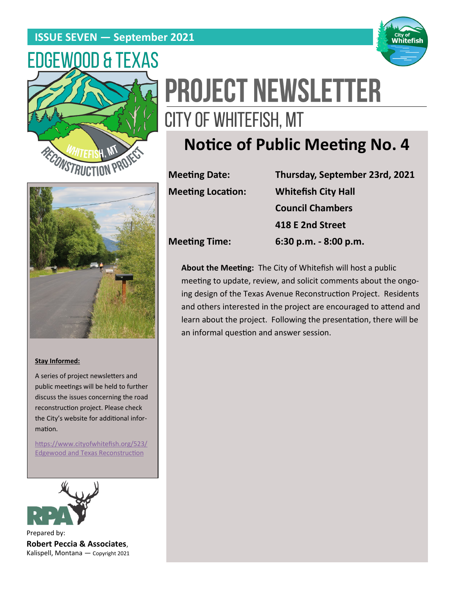## **ISSUE SEVEN — September 2021**





# **PROJECT NEWSLETTER** CITY OF WHITEFISH, MT

# **Notice of Public Meeting No. 4**



#### **Stay Informed:**

A series of project newsletters and public meetings will be held to further discuss the issues concerning the road reconstruction project. Please check the City's website for additional information.

[https://www.cityofwhitefish.org/523/](https://www.cityofwhitefish.org/523/Edgewood%20and%20Texas%20Reconstruction) [Edgewood and Texas Reconstruction](https://www.cityofwhitefish.org/523/Edgewood%20and%20Texas%20Reconstruction)



Prepared by: **Robert Peccia & Associates**, Kalispell, Montana — Copyright 2021

| <b>Meeting Date:</b>     | Thursday, September 23rd, 2021 |
|--------------------------|--------------------------------|
| <b>Meeting Location:</b> | <b>Whitefish City Hall</b>     |
|                          | <b>Council Chambers</b>        |
|                          | 418 E 2nd Street               |
| <b>Meeting Time:</b>     | 6:30 p.m. - 8:00 p.m.          |

**About the Meeting:** The City of Whitefish will host a public meeting to update, review, and solicit comments about the ongoing design of the Texas Avenue Reconstruction Project. Residents and others interested in the project are encouraged to attend and learn about the project. Following the presentation, there will be an informal question and answer session.